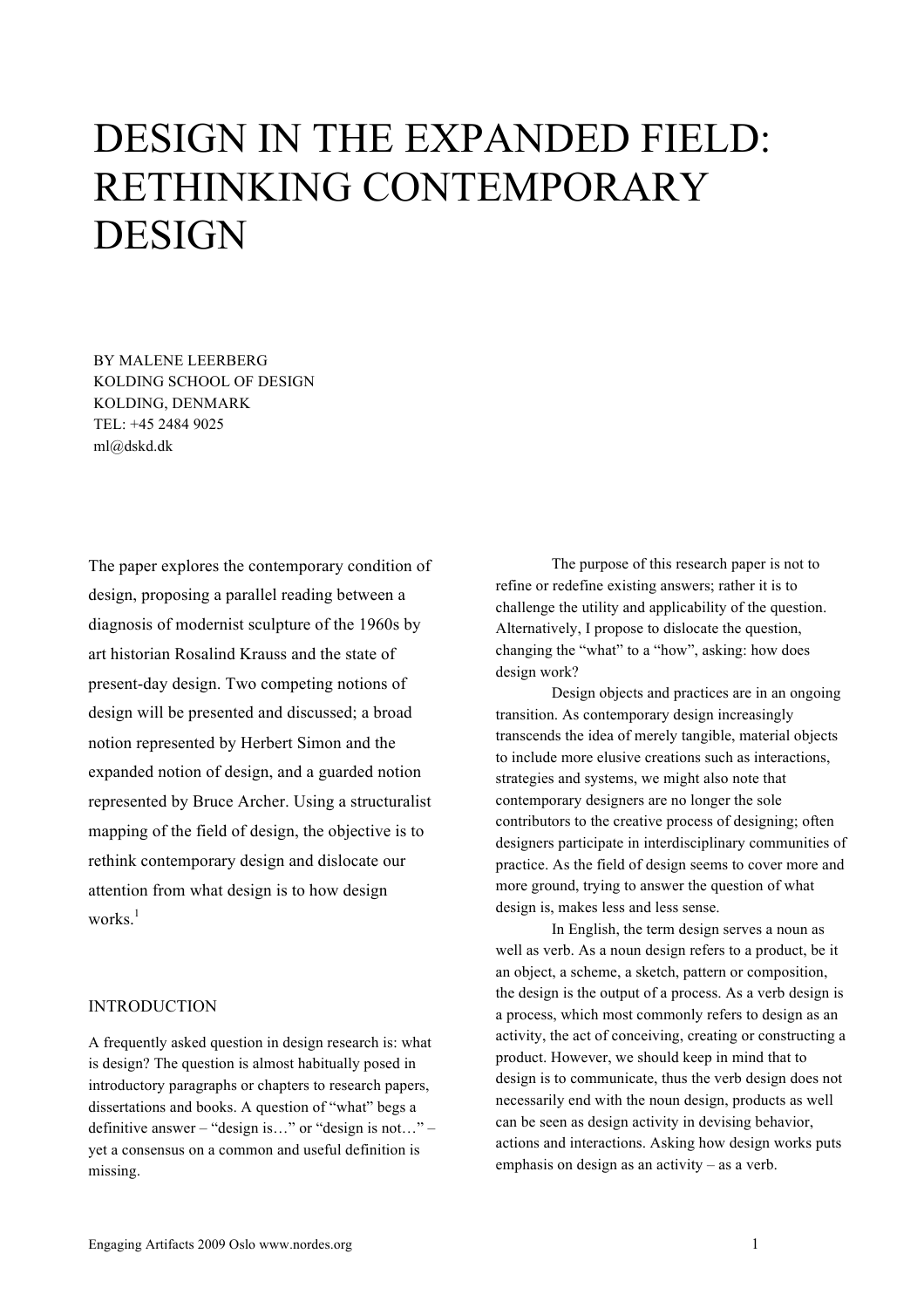# DESIGN IN THE EXPANDED FIELD: RETHINKING CONTEMPORARY DESIGN

BY MALENE LEERBERG KOLDING SCHOOL OF DESIGN KOLDING, DENMARK TEL: +45 2484 9025 ml@dskd.dk

The paper explores the contemporary condition of design, proposing a parallel reading between a diagnosis of modernist sculpture of the 1960s by art historian Rosalind Krauss and the state of present-day design. Two competing notions of design will be presented and discussed; a broad notion represented by Herbert Simon and the expanded notion of design, and a guarded notion represented by Bruce Archer. Using a structuralist mapping of the field of design, the objective is to rethink contemporary design and dislocate our attention from what design is to how design works.<sup>1</sup>

#### INTRODUCTION

A frequently asked question in design research is: what is design? The question is almost habitually posed in introductory paragraphs or chapters to research papers, dissertations and books. A question of "what" begs a definitive answer – "design is…" or "design is not…" – yet a consensus on a common and useful definition is missing.

The purpose of this research paper is not to refine or redefine existing answers; rather it is to challenge the utility and applicability of the question. Alternatively, I propose to dislocate the question, changing the "what" to a "how", asking: how does design work?

Design objects and practices are in an ongoing transition. As contemporary design increasingly transcends the idea of merely tangible, material objects to include more elusive creations such as interactions, strategies and systems, we might also note that contemporary designers are no longer the sole contributors to the creative process of designing; often designers participate in interdisciplinary communities of practice. As the field of design seems to cover more and more ground, trying to answer the question of what design is, makes less and less sense.

In English, the term design serves a noun as well as verb. As a noun design refers to a product, be it an object, a scheme, a sketch, pattern or composition, the design is the output of a process. As a verb design is a process, which most commonly refers to design as an activity, the act of conceiving, creating or constructing a product. However, we should keep in mind that to design is to communicate, thus the verb design does not necessarily end with the noun design, products as well can be seen as design activity in devising behavior, actions and interactions. Asking how design works puts emphasis on design as an activity – as a verb.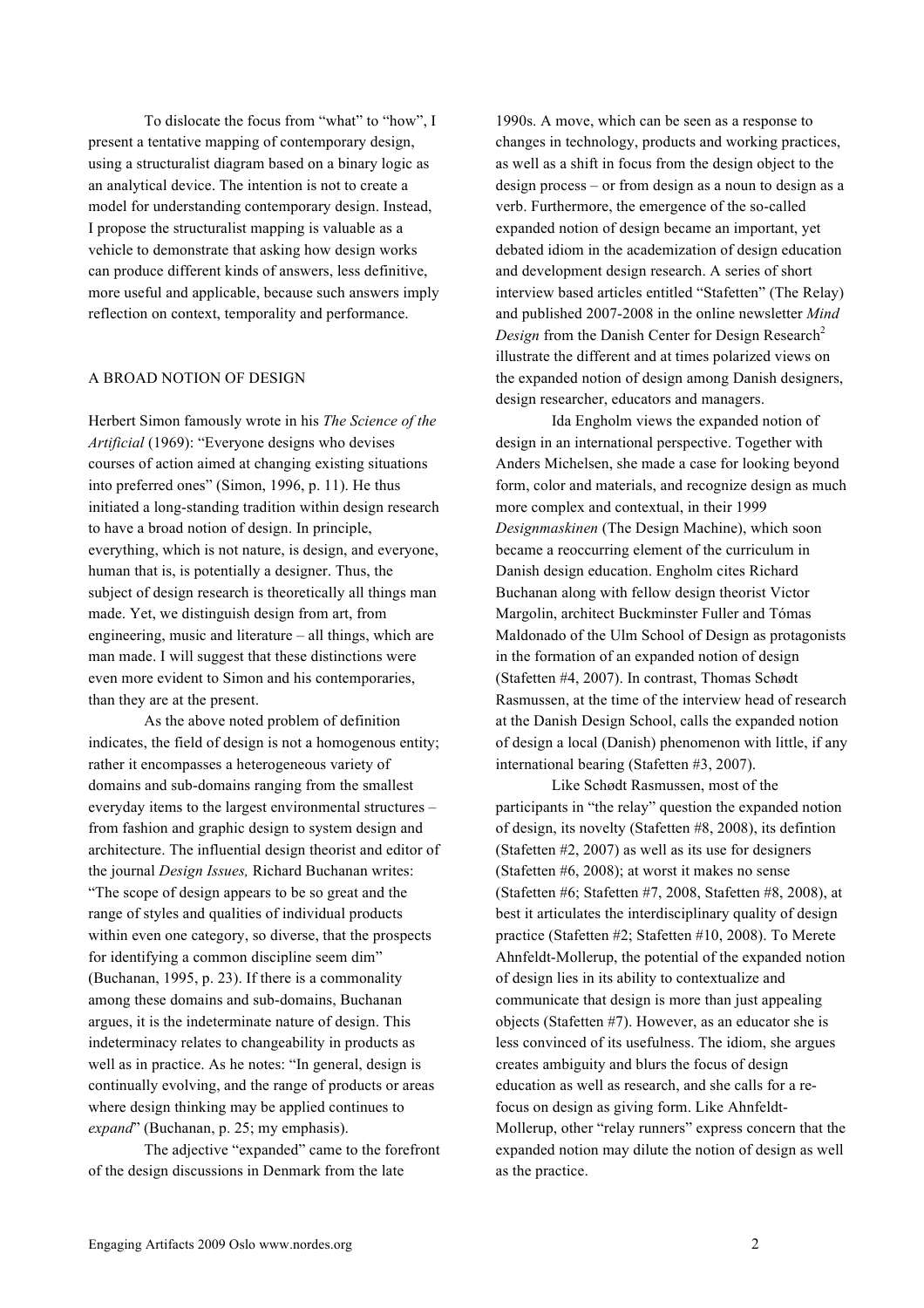To dislocate the focus from "what" to "how", I present a tentative mapping of contemporary design, using a structuralist diagram based on a binary logic as an analytical device. The intention is not to create a model for understanding contemporary design. Instead, I propose the structuralist mapping is valuable as a vehicle to demonstrate that asking how design works can produce different kinds of answers, less definitive, more useful and applicable, because such answers imply reflection on context, temporality and performance.

#### A BROAD NOTION OF DESIGN

Herbert Simon famously wrote in his *The Science of the Artificial* (1969): "Everyone designs who devises courses of action aimed at changing existing situations into preferred ones" (Simon, 1996, p. 11). He thus initiated a long-standing tradition within design research to have a broad notion of design. In principle, everything, which is not nature, is design, and everyone, human that is, is potentially a designer. Thus, the subject of design research is theoretically all things man made. Yet, we distinguish design from art, from engineering, music and literature – all things, which are man made. I will suggest that these distinctions were even more evident to Simon and his contemporaries, than they are at the present.

As the above noted problem of definition indicates, the field of design is not a homogenous entity; rather it encompasses a heterogeneous variety of domains and sub-domains ranging from the smallest everyday items to the largest environmental structures – from fashion and graphic design to system design and architecture. The influential design theorist and editor of the journal *Design Issues,* Richard Buchanan writes: "The scope of design appears to be so great and the range of styles and qualities of individual products within even one category, so diverse, that the prospects for identifying a common discipline seem dim" (Buchanan, 1995, p. 23). If there is a commonality among these domains and sub-domains, Buchanan argues, it is the indeterminate nature of design. This indeterminacy relates to changeability in products as well as in practice. As he notes: "In general, design is continually evolving, and the range of products or areas where design thinking may be applied continues to *expand*" (Buchanan, p. 25; my emphasis).

The adjective "expanded" came to the forefront of the design discussions in Denmark from the late

1990s. A move, which can be seen as a response to changes in technology, products and working practices, as well as a shift in focus from the design object to the design process – or from design as a noun to design as a verb. Furthermore, the emergence of the so-called expanded notion of design became an important, yet debated idiom in the academization of design education and development design research. A series of short interview based articles entitled "Stafetten" (The Relay) and published 2007-2008 in the online newsletter *Mind Design* from the Danish Center for Design Research<sup>2</sup> illustrate the different and at times polarized views on the expanded notion of design among Danish designers, design researcher, educators and managers.

Ida Engholm views the expanded notion of design in an international perspective. Together with Anders Michelsen, she made a case for looking beyond form, color and materials, and recognize design as much more complex and contextual, in their 1999 *Designmaskinen* (The Design Machine), which soon became a reoccurring element of the curriculum in Danish design education. Engholm cites Richard Buchanan along with fellow design theorist Victor Margolin, architect Buckminster Fuller and Tómas Maldonado of the Ulm School of Design as protagonists in the formation of an expanded notion of design (Stafetten #4, 2007). In contrast, Thomas Schødt Rasmussen, at the time of the interview head of research at the Danish Design School, calls the expanded notion of design a local (Danish) phenomenon with little, if any international bearing (Stafetten #3, 2007).

Like Schødt Rasmussen, most of the participants in "the relay" question the expanded notion of design, its novelty (Stafetten #8, 2008), its defintion (Stafetten #2, 2007) as well as its use for designers (Stafetten #6, 2008); at worst it makes no sense (Stafetten #6; Stafetten #7, 2008, Stafetten #8, 2008), at best it articulates the interdisciplinary quality of design practice (Stafetten #2; Stafetten #10, 2008). To Merete Ahnfeldt-Mollerup, the potential of the expanded notion of design lies in its ability to contextualize and communicate that design is more than just appealing objects (Stafetten #7). However, as an educator she is less convinced of its usefulness. The idiom, she argues creates ambiguity and blurs the focus of design education as well as research, and she calls for a refocus on design as giving form. Like Ahnfeldt-Mollerup, other "relay runners" express concern that the expanded notion may dilute the notion of design as well as the practice.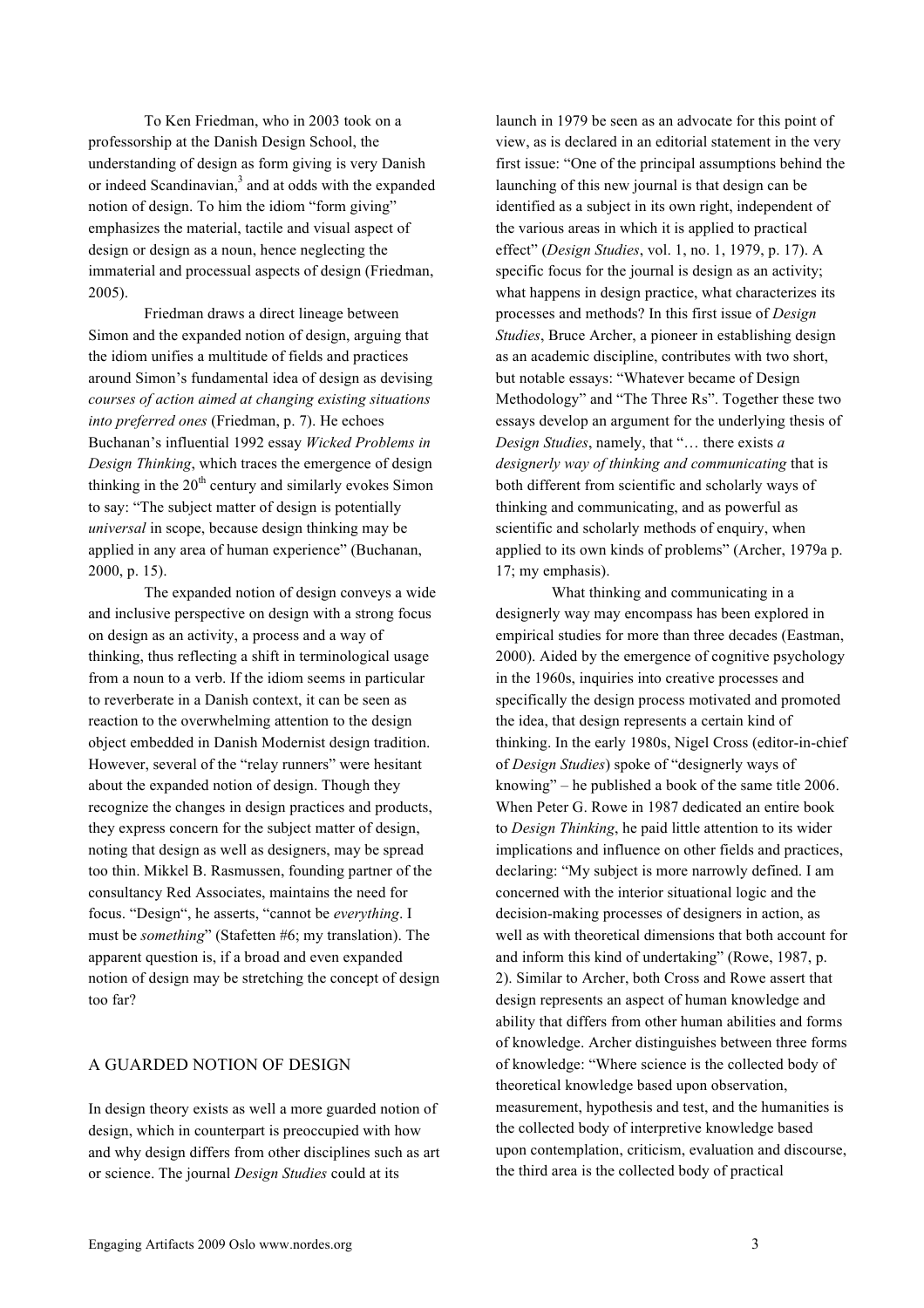To Ken Friedman, who in 2003 took on a professorship at the Danish Design School, the understanding of design as form giving is very Danish or indeed Scandinavian, <sup>3</sup> and at odds with the expanded notion of design. To him the idiom "form giving" emphasizes the material, tactile and visual aspect of design or design as a noun, hence neglecting the immaterial and processual aspects of design (Friedman, 2005).

Friedman draws a direct lineage between Simon and the expanded notion of design, arguing that the idiom unifies a multitude of fields and practices around Simon's fundamental idea of design as devising *courses of action aimed at changing existing situations into preferred ones* (Friedman, p. 7). He echoes Buchanan's influential 1992 essay *Wicked Problems in Design Thinking*, which traces the emergence of design thinking in the  $20<sup>th</sup>$  century and similarly evokes Simon to say: "The subject matter of design is potentially *universal* in scope, because design thinking may be applied in any area of human experience" (Buchanan, 2000, p. 15).

The expanded notion of design conveys a wide and inclusive perspective on design with a strong focus on design as an activity, a process and a way of thinking, thus reflecting a shift in terminological usage from a noun to a verb. If the idiom seems in particular to reverberate in a Danish context, it can be seen as reaction to the overwhelming attention to the design object embedded in Danish Modernist design tradition. However, several of the "relay runners" were hesitant about the expanded notion of design. Though they recognize the changes in design practices and products, they express concern for the subject matter of design, noting that design as well as designers, may be spread too thin. Mikkel B. Rasmussen, founding partner of the consultancy Red Associates, maintains the need for focus. "Design", he asserts, "cannot be *everything*. I must be *something*" (Stafetten #6; my translation). The apparent question is, if a broad and even expanded notion of design may be stretching the concept of design too far?

### A GUARDED NOTION OF DESIGN

In design theory exists as well a more guarded notion of design, which in counterpart is preoccupied with how and why design differs from other disciplines such as art or science. The journal *Design Studies* could at its

launch in 1979 be seen as an advocate for this point of view, as is declared in an editorial statement in the very first issue: "One of the principal assumptions behind the launching of this new journal is that design can be identified as a subject in its own right, independent of the various areas in which it is applied to practical effect" (*Design Studies*, vol. 1, no. 1, 1979, p. 17). A specific focus for the journal is design as an activity; what happens in design practice, what characterizes its processes and methods? In this first issue of *Design Studies*, Bruce Archer, a pioneer in establishing design as an academic discipline, contributes with two short, but notable essays: "Whatever became of Design Methodology" and "The Three Rs". Together these two essays develop an argument for the underlying thesis of *Design Studies*, namely, that "… there exists *a designerly way of thinking and communicating* that is both different from scientific and scholarly ways of thinking and communicating, and as powerful as scientific and scholarly methods of enquiry, when applied to its own kinds of problems" (Archer, 1979a p. 17; my emphasis).

What thinking and communicating in a designerly way may encompass has been explored in empirical studies for more than three decades (Eastman, 2000). Aided by the emergence of cognitive psychology in the 1960s, inquiries into creative processes and specifically the design process motivated and promoted the idea, that design represents a certain kind of thinking. In the early 1980s, Nigel Cross (editor-in-chief of *Design Studies*) spoke of "designerly ways of knowing" – he published a book of the same title 2006. When Peter G. Rowe in 1987 dedicated an entire book to *Design Thinking*, he paid little attention to its wider implications and influence on other fields and practices, declaring: "My subject is more narrowly defined. I am concerned with the interior situational logic and the decision-making processes of designers in action, as well as with theoretical dimensions that both account for and inform this kind of undertaking" (Rowe, 1987, p. 2). Similar to Archer, both Cross and Rowe assert that design represents an aspect of human knowledge and ability that differs from other human abilities and forms of knowledge. Archer distinguishes between three forms of knowledge: "Where science is the collected body of theoretical knowledge based upon observation, measurement, hypothesis and test, and the humanities is the collected body of interpretive knowledge based upon contemplation, criticism, evaluation and discourse, the third area is the collected body of practical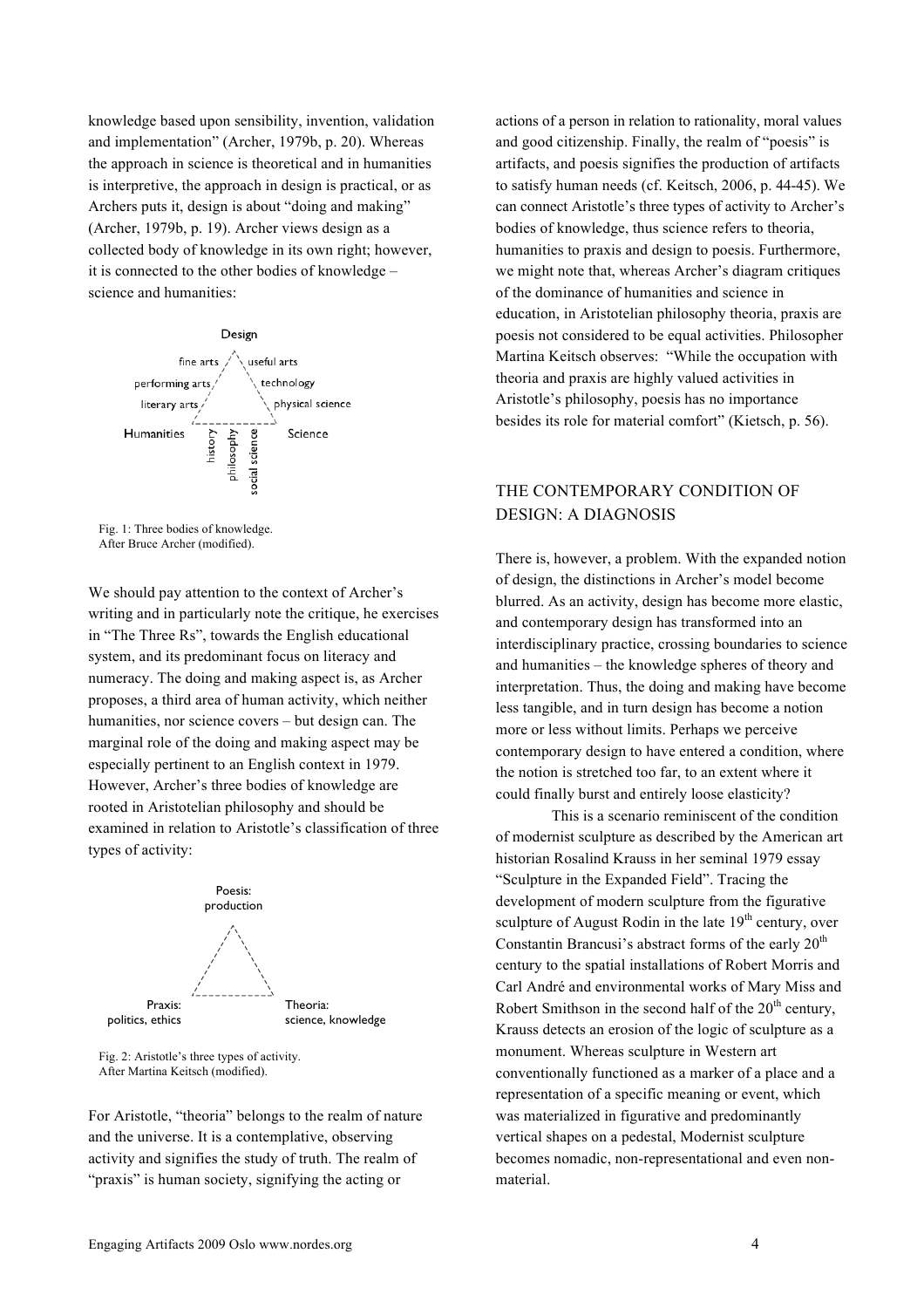knowledge based upon sensibility, invention, validation and implementation" (Archer, 1979b, p. 20). Whereas the approach in science is theoretical and in humanities is interpretive, the approach in design is practical, or as Archers puts it, design is about "doing and making" (Archer, 1979b, p. 19). Archer views design as a collected body of knowledge in its own right; however, it is connected to the other bodies of knowledge – science and humanities:



Fig. 1: Three bodies of knowledge. After Bruce Archer (modified).

We should pay attention to the context of Archer's writing and in particularly note the critique, he exercises in "The Three Rs", towards the English educational system, and its predominant focus on literacy and numeracy. The doing and making aspect is, as Archer proposes, a third area of human activity, which neither humanities, nor science covers – but design can. The marginal role of the doing and making aspect may be especially pertinent to an English context in 1979. However, Archer's three bodies of knowledge are rooted in Aristotelian philosophy and should be examined in relation to Aristotle's classification of three types of activity:



Fig. 2: Aristotle's three types of activity. After Martina Keitsch (modified).

For Aristotle, "theoria" belongs to the realm of nature and the universe. It is a contemplative, observing activity and signifies the study of truth. The realm of "praxis" is human society, signifying the acting or

actions of a person in relation to rationality, moral values and good citizenship. Finally, the realm of "poesis" is artifacts, and poesis signifies the production of artifacts to satisfy human needs (cf. Keitsch, 2006, p. 44-45). We can connect Aristotle's three types of activity to Archer's bodies of knowledge, thus science refers to theoria, humanities to praxis and design to poesis. Furthermore, we might note that, whereas Archer's diagram critiques of the dominance of humanities and science in education, in Aristotelian philosophy theoria, praxis are poesis not considered to be equal activities. Philosopher Martina Keitsch observes: "While the occupation with theoria and praxis are highly valued activities in Aristotle's philosophy, poesis has no importance besides its role for material comfort" (Kietsch, p. 56).

# THE CONTEMPORARY CONDITION OF DESIGN: A DIAGNOSIS

There is, however, a problem. With the expanded notion of design, the distinctions in Archer's model become blurred. As an activity, design has become more elastic, and contemporary design has transformed into an interdisciplinary practice, crossing boundaries to science and humanities – the knowledge spheres of theory and interpretation. Thus, the doing and making have become less tangible, and in turn design has become a notion more or less without limits. Perhaps we perceive contemporary design to have entered a condition, where the notion is stretched too far, to an extent where it could finally burst and entirely loose elasticity?

This is a scenario reminiscent of the condition of modernist sculpture as described by the American art historian Rosalind Krauss in her seminal 1979 essay "Sculpture in the Expanded Field". Tracing the development of modern sculpture from the figurative sculpture of August Rodin in the late  $19<sup>th</sup>$  century, over Constantin Brancusi's abstract forms of the early  $20<sup>th</sup>$ century to the spatial installations of Robert Morris and Carl André and environmental works of Mary Miss and Robert Smithson in the second half of the  $20<sup>th</sup>$  century, Krauss detects an erosion of the logic of sculpture as a monument. Whereas sculpture in Western art conventionally functioned as a marker of a place and a representation of a specific meaning or event, which was materialized in figurative and predominantly vertical shapes on a pedestal, Modernist sculpture becomes nomadic, non-representational and even nonmaterial.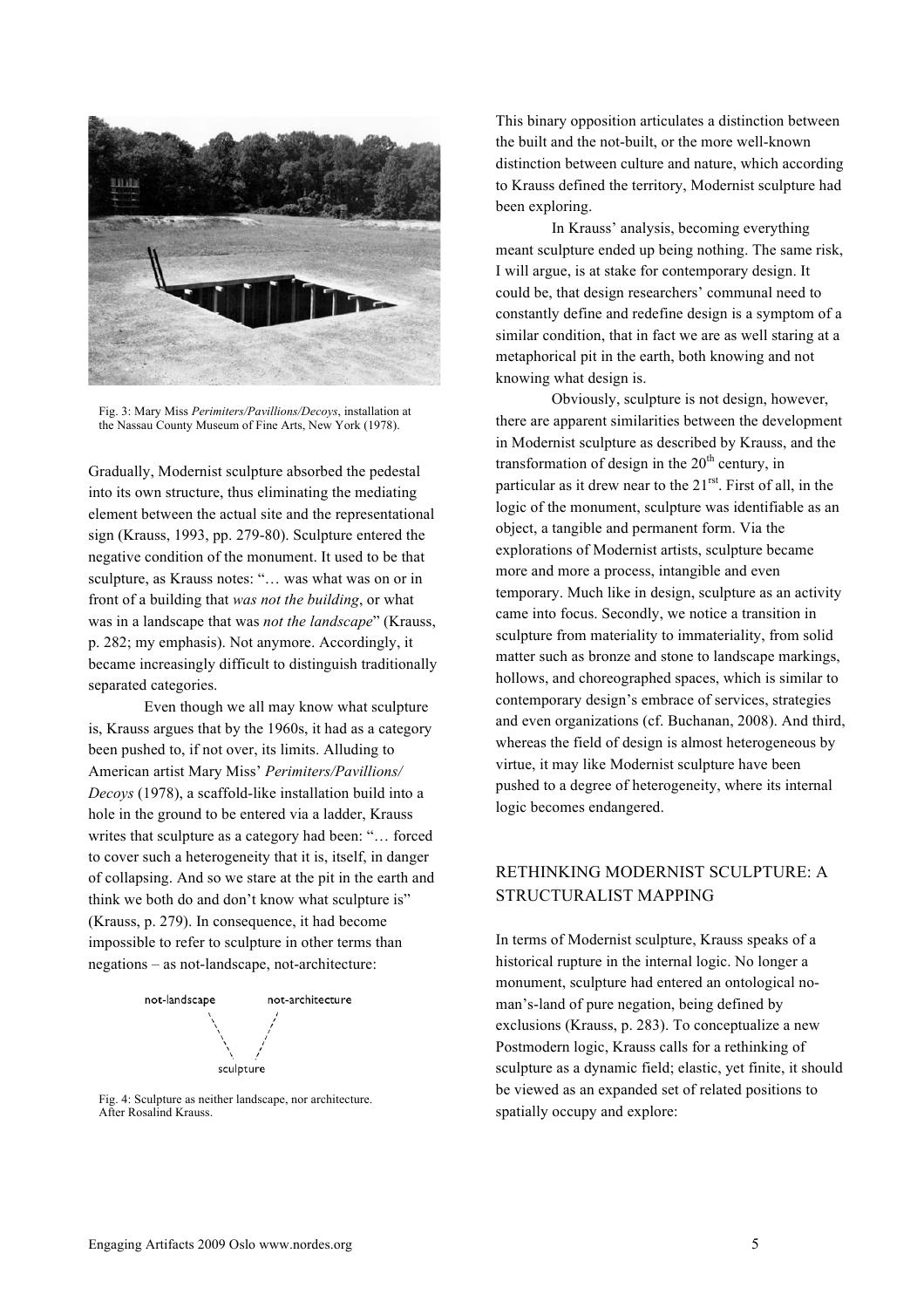

Fig. 3: Mary Miss *Perimiters/Pavillions/Decoys*, installation at the Nassau County Museum of Fine Arts, New York (1978).

Gradually, Modernist sculpture absorbed the pedestal into its own structure, thus eliminating the mediating element between the actual site and the representational sign (Krauss, 1993, pp. 279-80). Sculpture entered the negative condition of the monument. It used to be that sculpture, as Krauss notes: "… was what was on or in front of a building that *was not the building*, or what was in a landscape that was *not the landscape*" (Krauss, p. 282; my emphasis). Not anymore. Accordingly, it became increasingly difficult to distinguish traditionally separated categories.

Even though we all may know what sculpture is, Krauss argues that by the 1960s, it had as a category been pushed to, if not over, its limits. Alluding to American artist Mary Miss' *Perimiters/Pavillions/ Decoys* (1978), a scaffold-like installation build into a hole in the ground to be entered via a ladder, Krauss writes that sculpture as a category had been: "… forced to cover such a heterogeneity that it is, itself, in danger of collapsing. And so we stare at the pit in the earth and think we both do and don't know what sculpture is" (Krauss, p. 279). In consequence, it had become impossible to refer to sculpture in other terms than negations – as not-landscape, not-architecture:



Fig. 4: Sculpture as neither landscape, nor architecture. After Rosalind Krauss.

This binary opposition articulates a distinction between the built and the not-built, or the more well-known distinction between culture and nature, which according to Krauss defined the territory, Modernist sculpture had been exploring.

In Krauss' analysis, becoming everything meant sculpture ended up being nothing. The same risk, I will argue, is at stake for contemporary design. It could be, that design researchers' communal need to constantly define and redefine design is a symptom of a similar condition, that in fact we are as well staring at a metaphorical pit in the earth, both knowing and not knowing what design is.

Obviously, sculpture is not design, however, there are apparent similarities between the development in Modernist sculpture as described by Krauss, and the transformation of design in the  $20<sup>th</sup>$  century, in particular as it drew near to the 21<sup>rst</sup>. First of all, in the logic of the monument, sculpture was identifiable as an object, a tangible and permanent form. Via the explorations of Modernist artists, sculpture became more and more a process, intangible and even temporary. Much like in design, sculpture as an activity came into focus. Secondly, we notice a transition in sculpture from materiality to immateriality, from solid matter such as bronze and stone to landscape markings, hollows, and choreographed spaces, which is similar to contemporary design's embrace of services, strategies and even organizations (cf. Buchanan, 2008). And third, whereas the field of design is almost heterogeneous by virtue, it may like Modernist sculpture have been pushed to a degree of heterogeneity, where its internal logic becomes endangered.

# RETHINKING MODERNIST SCULPTURE: A STRUCTURALIST MAPPING

In terms of Modernist sculpture, Krauss speaks of a historical rupture in the internal logic. No longer a monument, sculpture had entered an ontological noman's-land of pure negation, being defined by exclusions (Krauss, p. 283). To conceptualize a new Postmodern logic, Krauss calls for a rethinking of sculpture as a dynamic field; elastic, yet finite, it should be viewed as an expanded set of related positions to spatially occupy and explore: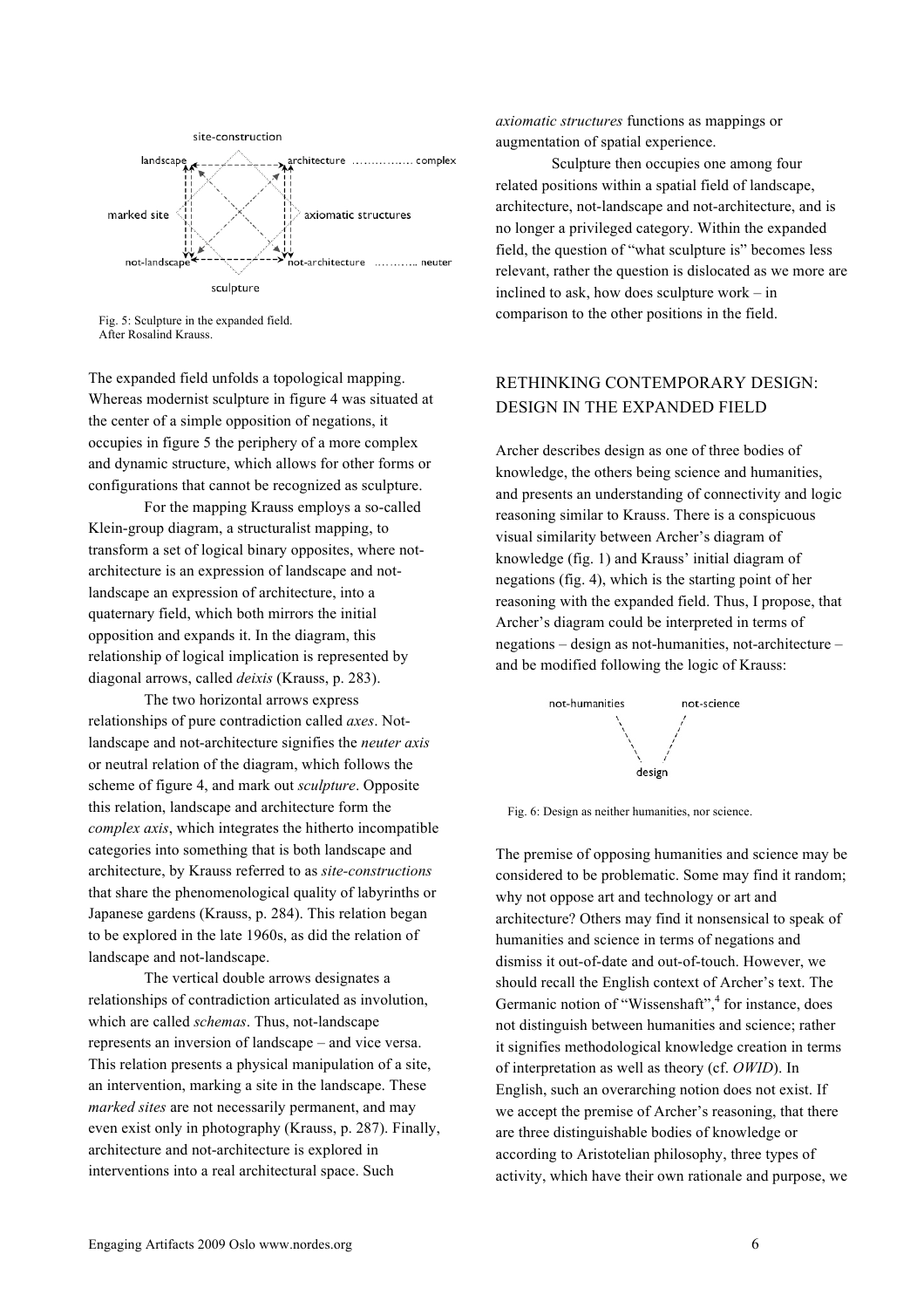

Fig. 5: Sculpture in the expanded field. After Rosalind Krauss.

The expanded field unfolds a topological mapping. Whereas modernist sculpture in figure 4 was situated at the center of a simple opposition of negations, it occupies in figure 5 the periphery of a more complex and dynamic structure, which allows for other forms or configurations that cannot be recognized as sculpture.

For the mapping Krauss employs a so-called Klein-group diagram, a structuralist mapping, to transform a set of logical binary opposites, where notarchitecture is an expression of landscape and notlandscape an expression of architecture, into a quaternary field, which both mirrors the initial opposition and expands it. In the diagram, this relationship of logical implication is represented by diagonal arrows, called *deixis* (Krauss, p. 283).

The two horizontal arrows express relationships of pure contradiction called *axes*. Notlandscape and not-architecture signifies the *neuter axis* or neutral relation of the diagram, which follows the scheme of figure 4, and mark out *sculpture*. Opposite this relation, landscape and architecture form the *complex axis*, which integrates the hitherto incompatible categories into something that is both landscape and architecture, by Krauss referred to as *site-constructions* that share the phenomenological quality of labyrinths or Japanese gardens (Krauss, p. 284). This relation began to be explored in the late 1960s, as did the relation of landscape and not-landscape.

The vertical double arrows designates a relationships of contradiction articulated as involution, which are called *schemas*. Thus, not-landscape represents an inversion of landscape – and vice versa. This relation presents a physical manipulation of a site, an intervention, marking a site in the landscape. These *marked sites* are not necessarily permanent, and may even exist only in photography (Krauss, p. 287). Finally, architecture and not-architecture is explored in interventions into a real architectural space. Such

*axiomatic structures* functions as mappings or augmentation of spatial experience.

Sculpture then occupies one among four related positions within a spatial field of landscape, architecture, not-landscape and not-architecture, and is no longer a privileged category. Within the expanded field, the question of "what sculpture is" becomes less relevant, rather the question is dislocated as we more are inclined to ask, how does sculpture work – in comparison to the other positions in the field.

## RETHINKING CONTEMPORARY DESIGN: DESIGN IN THE EXPANDED FIELD

Archer describes design as one of three bodies of knowledge, the others being science and humanities, and presents an understanding of connectivity and logic reasoning similar to Krauss. There is a conspicuous visual similarity between Archer's diagram of knowledge (fig. 1) and Krauss' initial diagram of negations (fig. 4), which is the starting point of her reasoning with the expanded field. Thus, I propose, that Archer's diagram could be interpreted in terms of negations – design as not-humanities, not-architecture – and be modified following the logic of Krauss:



Fig. 6: Design as neither humanities, nor science.

The premise of opposing humanities and science may be considered to be problematic. Some may find it random; why not oppose art and technology or art and architecture? Others may find it nonsensical to speak of humanities and science in terms of negations and dismiss it out-of-date and out-of-touch. However, we should recall the English context of Archer's text. The Germanic notion of "Wissenshaft",<sup>4</sup> for instance, does not distinguish between humanities and science; rather it signifies methodological knowledge creation in terms of interpretation as well as theory (cf. *OWID*). In English, such an overarching notion does not exist. If we accept the premise of Archer's reasoning, that there are three distinguishable bodies of knowledge or according to Aristotelian philosophy, three types of activity, which have their own rationale and purpose, we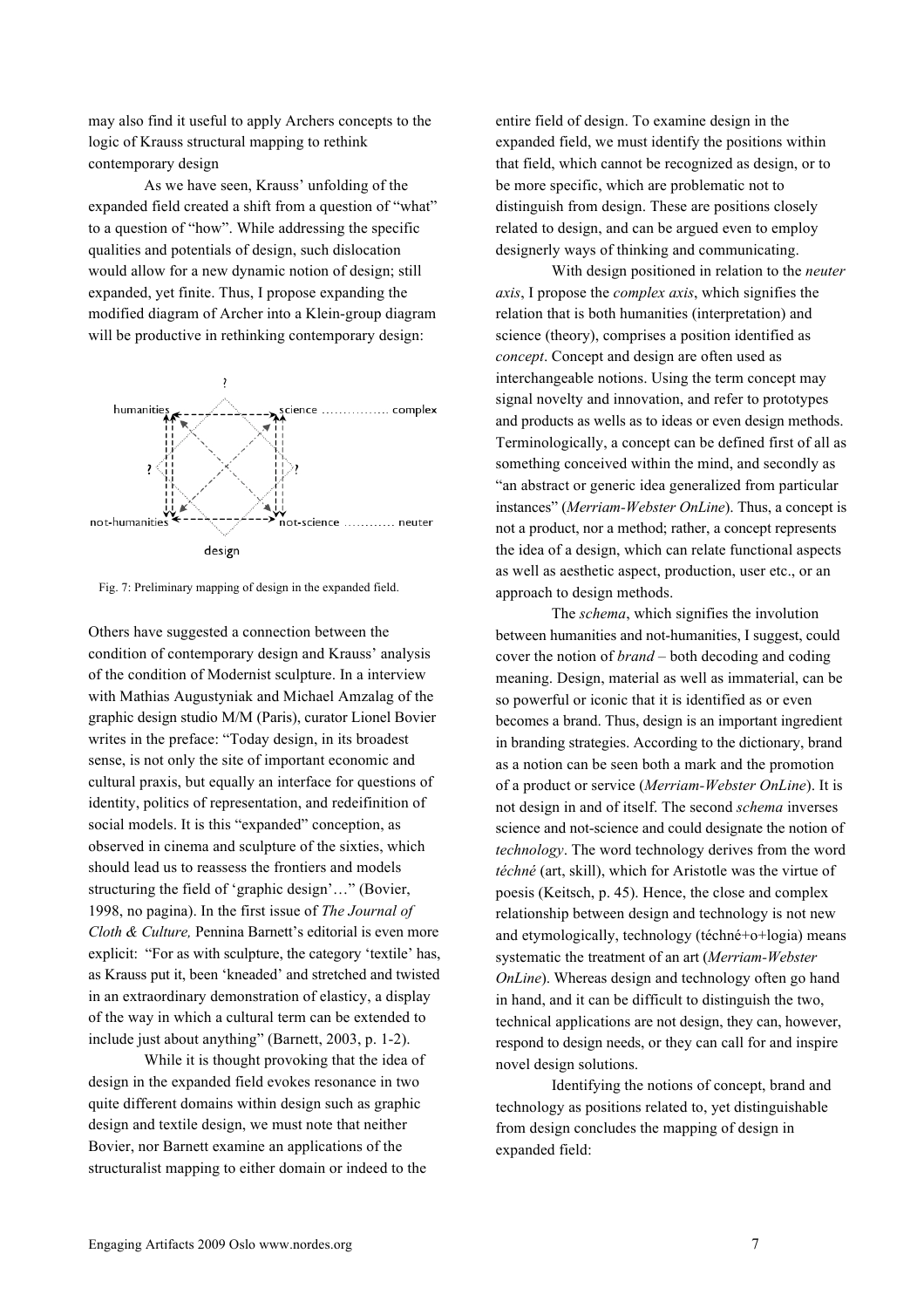may also find it useful to apply Archers concepts to the logic of Krauss structural mapping to rethink contemporary design

As we have seen, Krauss' unfolding of the expanded field created a shift from a question of "what" to a question of "how". While addressing the specific qualities and potentials of design, such dislocation would allow for a new dynamic notion of design; still expanded, yet finite. Thus, I propose expanding the modified diagram of Archer into a Klein-group diagram will be productive in rethinking contemporary design:



Fig. 7: Preliminary mapping of design in the expanded field.

Others have suggested a connection between the condition of contemporary design and Krauss' analysis of the condition of Modernist sculpture. In a interview with Mathias Augustyniak and Michael Amzalag of the graphic design studio M/M (Paris), curator Lionel Bovier writes in the preface: "Today design, in its broadest sense, is not only the site of important economic and cultural praxis, but equally an interface for questions of identity, politics of representation, and redeifinition of social models. It is this "expanded" conception, as observed in cinema and sculpture of the sixties, which should lead us to reassess the frontiers and models structuring the field of 'graphic design'…" (Bovier, 1998, no pagina). In the first issue of *The Journal of Cloth & Culture,* Pennina Barnett's editorial is even more explicit: "For as with sculpture, the category 'textile' has, as Krauss put it, been 'kneaded' and stretched and twisted in an extraordinary demonstration of elasticy, a display of the way in which a cultural term can be extended to include just about anything" (Barnett, 2003, p. 1-2).

While it is thought provoking that the idea of design in the expanded field evokes resonance in two quite different domains within design such as graphic design and textile design, we must note that neither Bovier, nor Barnett examine an applications of the structuralist mapping to either domain or indeed to the

entire field of design. To examine design in the expanded field, we must identify the positions within that field, which cannot be recognized as design, or to be more specific, which are problematic not to distinguish from design. These are positions closely related to design, and can be argued even to employ designerly ways of thinking and communicating.

With design positioned in relation to the *neuter axis*, I propose the *complex axis*, which signifies the relation that is both humanities (interpretation) and science (theory), comprises a position identified as *concept*. Concept and design are often used as interchangeable notions. Using the term concept may signal novelty and innovation, and refer to prototypes and products as wells as to ideas or even design methods. Terminologically, a concept can be defined first of all as something conceived within the mind, and secondly as "an abstract or generic idea generalized from particular instances" (*Merriam-Webster OnLine*). Thus, a concept is not a product, nor a method; rather, a concept represents the idea of a design, which can relate functional aspects as well as aesthetic aspect, production, user etc., or an approach to design methods.

The *schema*, which signifies the involution between humanities and not-humanities, I suggest, could cover the notion of *brand* – both decoding and coding meaning. Design, material as well as immaterial, can be so powerful or iconic that it is identified as or even becomes a brand. Thus, design is an important ingredient in branding strategies. According to the dictionary, brand as a notion can be seen both a mark and the promotion of a product or service (*Merriam-Webster OnLine*). It is not design in and of itself. The second *schema* inverses science and not-science and could designate the notion of *technology*. The word technology derives from the word *téchné* (art, skill), which for Aristotle was the virtue of poesis (Keitsch, p. 45). Hence, the close and complex relationship between design and technology is not new and etymologically, technology (téchné+o+logia) means systematic the treatment of an art (*Merriam-Webster OnLine*). Whereas design and technology often go hand in hand, and it can be difficult to distinguish the two, technical applications are not design, they can, however, respond to design needs, or they can call for and inspire novel design solutions.

Identifying the notions of concept, brand and technology as positions related to, yet distinguishable from design concludes the mapping of design in expanded field: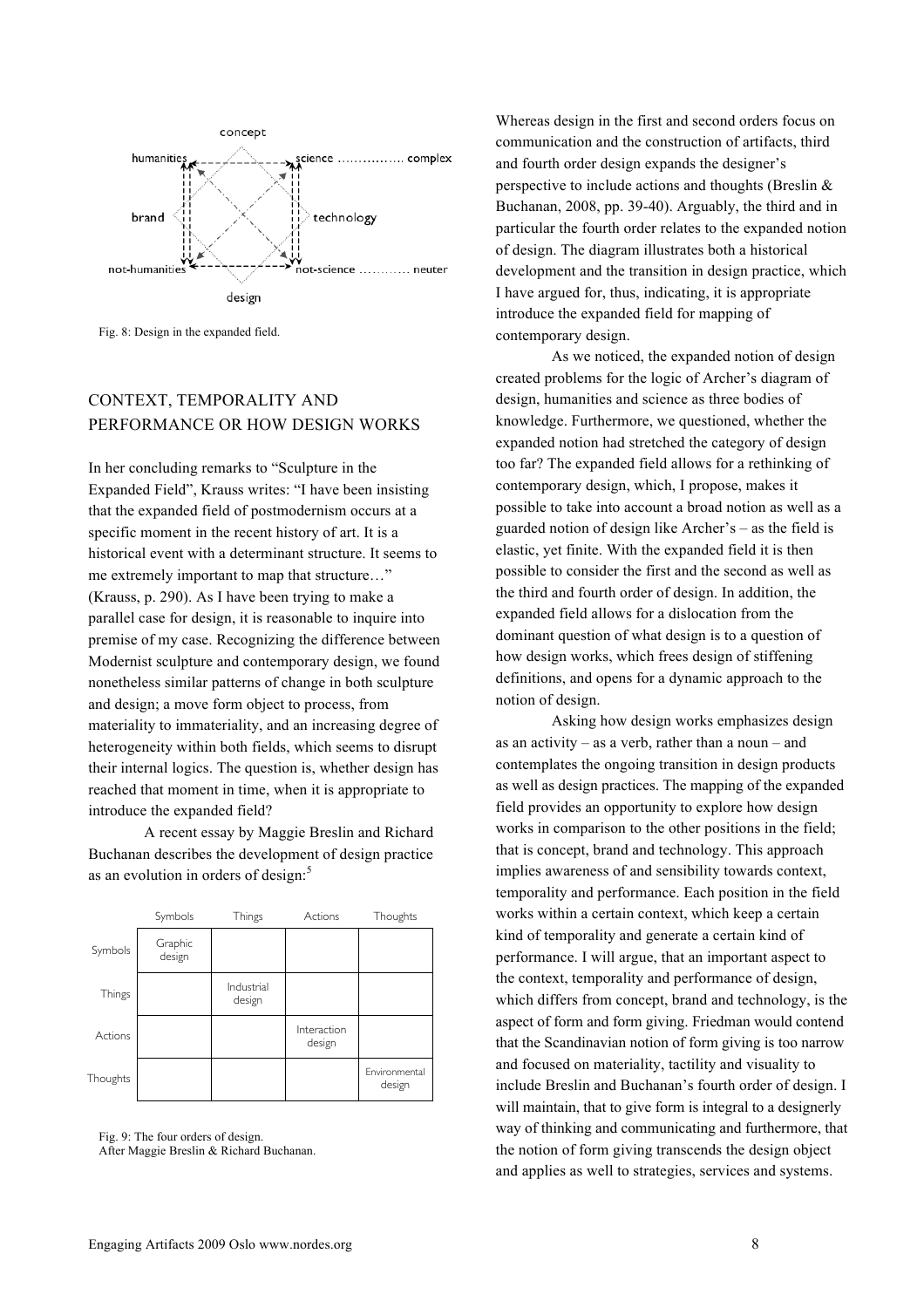

Fig. 8: Design in the expanded field.

### CONTEXT, TEMPORALITY AND PERFORMANCE OR HOW DESIGN WORKS

In her concluding remarks to "Sculpture in the Expanded Field", Krauss writes: "I have been insisting that the expanded field of postmodernism occurs at a specific moment in the recent history of art. It is a historical event with a determinant structure. It seems to me extremely important to map that structure…" (Krauss, p. 290). As I have been trying to make a parallel case for design, it is reasonable to inquire into premise of my case. Recognizing the difference between Modernist sculpture and contemporary design, we found nonetheless similar patterns of change in both sculpture and design; a move form object to process, from materiality to immateriality, and an increasing degree of heterogeneity within both fields, which seems to disrupt their internal logics. The question is, whether design has reached that moment in time, when it is appropriate to introduce the expanded field?

A recent essay by Maggie Breslin and Richard Buchanan describes the development of design practice as an evolution in orders of design:<sup>5</sup>

|          | Symbols           | Things               | Actions               | Thoughts                |
|----------|-------------------|----------------------|-----------------------|-------------------------|
| Symbols  | Graphic<br>design |                      |                       |                         |
| Things   |                   | Industrial<br>design |                       |                         |
| Actions  |                   |                      | Interaction<br>design |                         |
| Thoughts |                   |                      |                       | Environmental<br>design |

Fig. 9: The four orders of design. After Maggie Breslin & Richard Buchanan.

Whereas design in the first and second orders focus on communication and the construction of artifacts, third and fourth order design expands the designer's perspective to include actions and thoughts (Breslin & Buchanan, 2008, pp. 39-40). Arguably, the third and in particular the fourth order relates to the expanded notion of design. The diagram illustrates both a historical development and the transition in design practice, which I have argued for, thus, indicating, it is appropriate introduce the expanded field for mapping of contemporary design.

As we noticed, the expanded notion of design created problems for the logic of Archer's diagram of design, humanities and science as three bodies of knowledge. Furthermore, we questioned, whether the expanded notion had stretched the category of design too far? The expanded field allows for a rethinking of contemporary design, which, I propose, makes it possible to take into account a broad notion as well as a guarded notion of design like Archer's – as the field is elastic, yet finite. With the expanded field it is then possible to consider the first and the second as well as the third and fourth order of design. In addition, the expanded field allows for a dislocation from the dominant question of what design is to a question of how design works, which frees design of stiffening definitions, and opens for a dynamic approach to the notion of design.

Asking how design works emphasizes design as an activity – as a verb, rather than a noun – and contemplates the ongoing transition in design products as well as design practices. The mapping of the expanded field provides an opportunity to explore how design works in comparison to the other positions in the field; that is concept, brand and technology. This approach implies awareness of and sensibility towards context, temporality and performance. Each position in the field works within a certain context, which keep a certain kind of temporality and generate a certain kind of performance. I will argue, that an important aspect to the context, temporality and performance of design, which differs from concept, brand and technology, is the aspect of form and form giving. Friedman would contend that the Scandinavian notion of form giving is too narrow and focused on materiality, tactility and visuality to include Breslin and Buchanan's fourth order of design. I will maintain, that to give form is integral to a designerly way of thinking and communicating and furthermore, that the notion of form giving transcends the design object and applies as well to strategies, services and systems.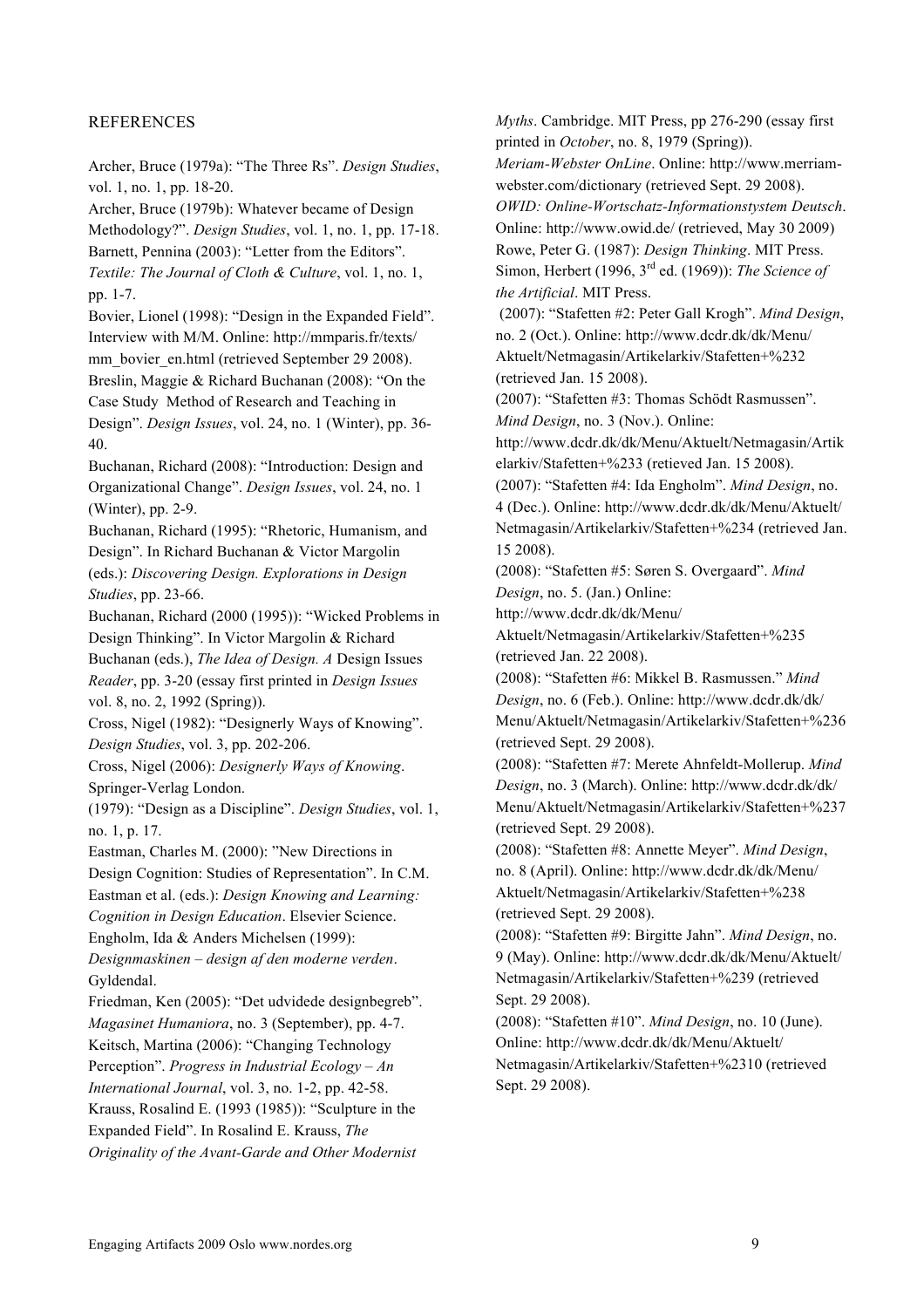#### REFERENCES

Archer, Bruce (1979a): "The Three Rs". *Design Studies*, vol. 1, no. 1, pp. 18-20.

Archer, Bruce (1979b): Whatever became of Design Methodology?". *Design Studies*, vol. 1, no. 1, pp. 17-18. Barnett, Pennina (2003): "Letter from the Editors". *Textile: The Journal of Cloth & Culture*, vol. 1, no. 1, pp. 1-7.

Bovier, Lionel (1998): "Design in the Expanded Field". Interview with M/M. Online: http://mmparis.fr/texts/ mm\_bovier\_en.html (retrieved September 29 2008). Breslin, Maggie & Richard Buchanan (2008): "On the Case Study Method of Research and Teaching in Design". *Design Issues*, vol. 24, no. 1 (Winter), pp. 36- 40.

Buchanan, Richard (2008): "Introduction: Design and Organizational Change". *Design Issues*, vol. 24, no. 1 (Winter), pp. 2-9.

Buchanan, Richard (1995): "Rhetoric, Humanism, and Design". In Richard Buchanan & Victor Margolin (eds.): *Discovering Design. Explorations in Design Studies*, pp. 23-66.

Buchanan, Richard (2000 (1995)): "Wicked Problems in Design Thinking". In Victor Margolin & Richard Buchanan (eds.), *The Idea of Design. A* Design Issues *Reader*, pp. 3-20 (essay first printed in *Design Issues* vol. 8, no. 2, 1992 (Spring)).

Cross, Nigel (1982): "Designerly Ways of Knowing". *Design Studies*, vol. 3, pp. 202-206.

Cross, Nigel (2006): *Designerly Ways of Knowing*. Springer-Verlag London.

(1979): "Design as a Discipline". *Design Studies*, vol. 1, no. 1, p. 17.

Eastman, Charles M. (2000): "New Directions in

Design Cognition: Studies of Representation". In C.M. Eastman et al. (eds.): *Design Knowing and Learning:*

*Cognition in Design Education*. Elsevier Science. Engholm, Ida & Anders Michelsen (1999):

*Designmaskinen – design af den moderne verden*.

Gyldendal.

Friedman, Ken (2005): "Det udvidede designbegreb". *Magasinet Humaniora*, no. 3 (September), pp. 4-7.

Keitsch, Martina (2006): "Changing Technology

Perception". *Progress in Industrial Ecology – An International Journal*, vol. 3, no. 1-2, pp. 42-58.

Krauss, Rosalind E. (1993 (1985)): "Sculpture in the Expanded Field". In Rosalind E. Krauss, *The*

*Originality of the Avant-Garde and Other Modernist*

*Myths*. Cambridge. MIT Press, pp 276-290 (essay first printed in *October*, no. 8, 1979 (Spring)). *Meriam-Webster OnLine*. Online: http://www.merriamwebster.com/dictionary (retrieved Sept. 29 2008). *OWID: Online-Wortschatz-Informationstystem Deutsch*. Online: http://www.owid.de/ (retrieved, May 30 2009) Rowe, Peter G. (1987): *Design Thinking*. MIT Press. Simon, Herbert (1996, 3rd ed. (1969)): *The Science of the Artificial*. MIT Press.

(2007): "Stafetten #2: Peter Gall Krogh". *Mind Design*, no. 2 (Oct.). Online: http://www.dcdr.dk/dk/Menu/ Aktuelt/Netmagasin/Artikelarkiv/Stafetten+%232 (retrieved Jan. 15 2008).

(2007): "Stafetten #3: Thomas Schödt Rasmussen". *Mind Design*, no. 3 (Nov.). Online:

http://www.dcdr.dk/dk/Menu/Aktuelt/Netmagasin/Artik elarkiv/Stafetten+%233 (retieved Jan. 15 2008).

(2007): "Stafetten #4: Ida Engholm". *Mind Design*, no. 4 (Dec.). Online: http://www.dcdr.dk/dk/Menu/Aktuelt/ Netmagasin/Artikelarkiv/Stafetten+%234 (retrieved Jan. 15 2008).

(2008): "Stafetten #5: Søren S. Overgaard". *Mind Design*, no. 5. (Jan.) Online:

http://www.dcdr.dk/dk/Menu/

Aktuelt/Netmagasin/Artikelarkiv/Stafetten+%235 (retrieved Jan. 22 2008).

(2008): "Stafetten #6: Mikkel B. Rasmussen." *Mind Design*, no. 6 (Feb.). Online: http://www.dcdr.dk/dk/ Menu/Aktuelt/Netmagasin/Artikelarkiv/Stafetten+%236 (retrieved Sept. 29 2008).

(2008): "Stafetten #7: Merete Ahnfeldt-Mollerup. *Mind Design*, no. 3 (March). Online: http://www.dcdr.dk/dk/ Menu/Aktuelt/Netmagasin/Artikelarkiv/Stafetten+%237 (retrieved Sept. 29 2008).

(2008): "Stafetten #8: Annette Meyer". *Mind Design*, no. 8 (April). Online: http://www.dcdr.dk/dk/Menu/ Aktuelt/Netmagasin/Artikelarkiv/Stafetten+%238 (retrieved Sept. 29 2008).

(2008): "Stafetten #9: Birgitte Jahn". *Mind Design*, no. 9 (May). Online: http://www.dcdr.dk/dk/Menu/Aktuelt/ Netmagasin/Artikelarkiv/Stafetten+%239 (retrieved Sept. 29 2008).

(2008): "Stafetten #10". *Mind Design*, no. 10 (June). Online: http://www.dcdr.dk/dk/Menu/Aktuelt/ Netmagasin/Artikelarkiv/Stafetten+%2310 (retrieved Sept. 29 2008).